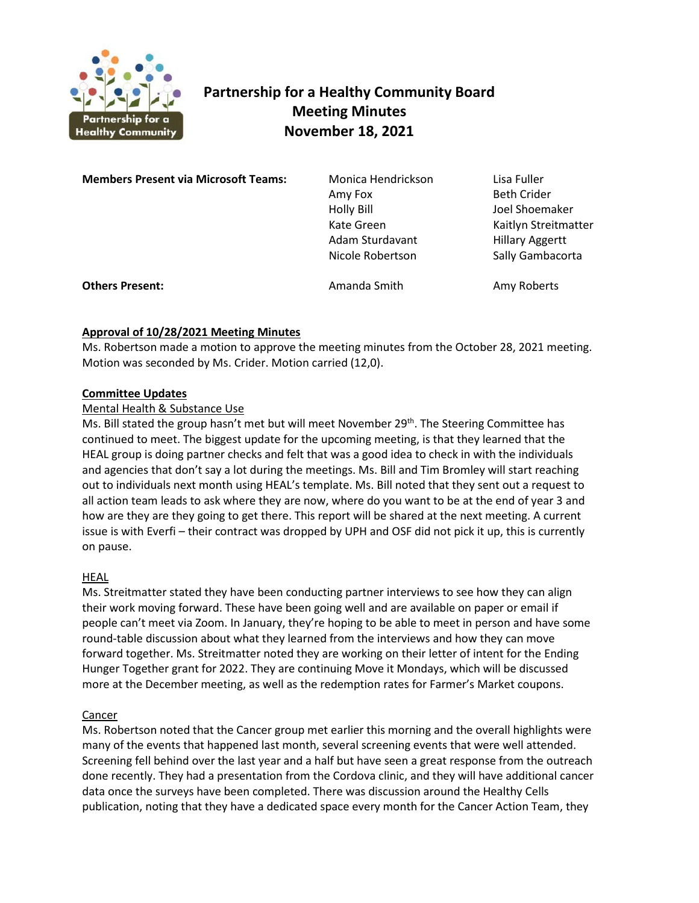

# **Partnership for a Healthy Community Board Meeting Minutes November 18, 2021**

**Members Present via Microsoft Teams:** Monica Hendrickson Lisa Fuller Amy Fox Beth Crider Holly Bill Joel Shoemaker Kate Green Kaitlyn Streitmatter Adam Sturdavant Hillary Aggertt Nicole Robertson Sally Gambacorta **Others Present: Amanda Smith Amy Roberts** Amy Roberts

## **Approval of 10/28/2021 Meeting Minutes**

Ms. Robertson made a motion to approve the meeting minutes from the October 28, 2021 meeting. Motion was seconded by Ms. Crider. Motion carried (12,0).

## **Committee Updates**

#### Mental Health & Substance Use

Ms. Bill stated the group hasn't met but will meet November  $29^{th}$ . The Steering Committee has continued to meet. The biggest update for the upcoming meeting, is that they learned that the HEAL group is doing partner checks and felt that was a good idea to check in with the individuals and agencies that don't say a lot during the meetings. Ms. Bill and Tim Bromley will start reaching out to individuals next month using HEAL's template. Ms. Bill noted that they sent out a request to all action team leads to ask where they are now, where do you want to be at the end of year 3 and how are they are they going to get there. This report will be shared at the next meeting. A current issue is with Everfi – their contract was dropped by UPH and OSF did not pick it up, this is currently on pause.

## HEAL

Ms. Streitmatter stated they have been conducting partner interviews to see how they can align their work moving forward. These have been going well and are available on paper or email if people can't meet via Zoom. In January, they're hoping to be able to meet in person and have some round-table discussion about what they learned from the interviews and how they can move forward together. Ms. Streitmatter noted they are working on their letter of intent for the Ending Hunger Together grant for 2022. They are continuing Move it Mondays, which will be discussed more at the December meeting, as well as the redemption rates for Farmer's Market coupons.

## Cancer

Ms. Robertson noted that the Cancer group met earlier this morning and the overall highlights were many of the events that happened last month, several screening events that were well attended. Screening fell behind over the last year and a half but have seen a great response from the outreach done recently. They had a presentation from the Cordova clinic, and they will have additional cancer data once the surveys have been completed. There was discussion around the Healthy Cells publication, noting that they have a dedicated space every month for the Cancer Action Team, they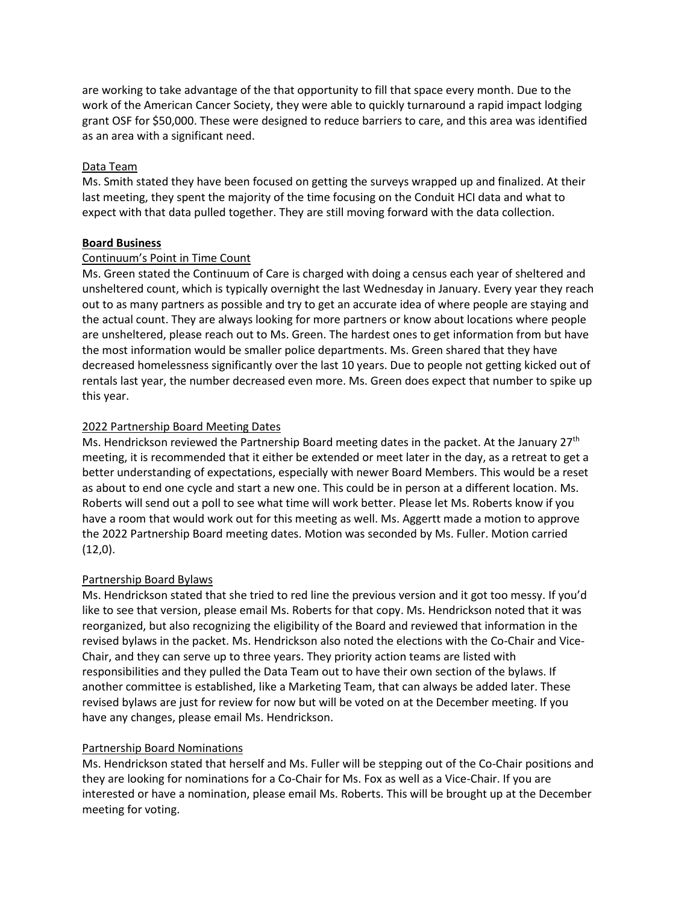are working to take advantage of the that opportunity to fill that space every month. Due to the work of the American Cancer Society, they were able to quickly turnaround a rapid impact lodging grant OSF for \$50,000. These were designed to reduce barriers to care, and this area was identified as an area with a significant need.

#### Data Team

Ms. Smith stated they have been focused on getting the surveys wrapped up and finalized. At their last meeting, they spent the majority of the time focusing on the Conduit HCI data and what to expect with that data pulled together. They are still moving forward with the data collection.

#### **Board Business**

#### Continuum's Point in Time Count

Ms. Green stated the Continuum of Care is charged with doing a census each year of sheltered and unsheltered count, which is typically overnight the last Wednesday in January. Every year they reach out to as many partners as possible and try to get an accurate idea of where people are staying and the actual count. They are always looking for more partners or know about locations where people are unsheltered, please reach out to Ms. Green. The hardest ones to get information from but have the most information would be smaller police departments. Ms. Green shared that they have decreased homelessness significantly over the last 10 years. Due to people not getting kicked out of rentals last year, the number decreased even more. Ms. Green does expect that number to spike up this year.

## 2022 Partnership Board Meeting Dates

Ms. Hendrickson reviewed the Partnership Board meeting dates in the packet. At the January 27<sup>th</sup> meeting, it is recommended that it either be extended or meet later in the day, as a retreat to get a better understanding of expectations, especially with newer Board Members. This would be a reset as about to end one cycle and start a new one. This could be in person at a different location. Ms. Roberts will send out a poll to see what time will work better. Please let Ms. Roberts know if you have a room that would work out for this meeting as well. Ms. Aggertt made a motion to approve the 2022 Partnership Board meeting dates. Motion was seconded by Ms. Fuller. Motion carried  $(12,0)$ .

## Partnership Board Bylaws

Ms. Hendrickson stated that she tried to red line the previous version and it got too messy. If you'd like to see that version, please email Ms. Roberts for that copy. Ms. Hendrickson noted that it was reorganized, but also recognizing the eligibility of the Board and reviewed that information in the revised bylaws in the packet. Ms. Hendrickson also noted the elections with the Co-Chair and Vice-Chair, and they can serve up to three years. They priority action teams are listed with responsibilities and they pulled the Data Team out to have their own section of the bylaws. If another committee is established, like a Marketing Team, that can always be added later. These revised bylaws are just for review for now but will be voted on at the December meeting. If you have any changes, please email Ms. Hendrickson.

#### Partnership Board Nominations

Ms. Hendrickson stated that herself and Ms. Fuller will be stepping out of the Co-Chair positions and they are looking for nominations for a Co-Chair for Ms. Fox as well as a Vice-Chair. If you are interested or have a nomination, please email Ms. Roberts. This will be brought up at the December meeting for voting.